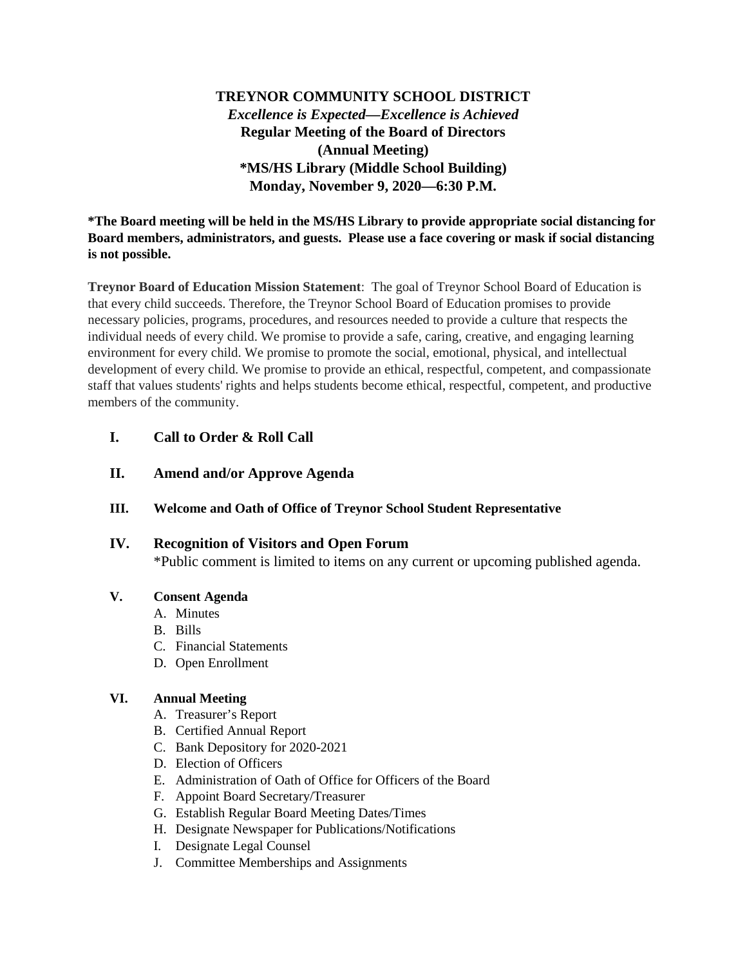**TREYNOR COMMUNITY SCHOOL DISTRICT** *Excellence is Expected—Excellence is Achieved* **Regular Meeting of the Board of Directors (Annual Meeting) \*MS/HS Library (Middle School Building) Monday, November 9, 2020—6:30 P.M.**

**\*The Board meeting will be held in the MS/HS Library to provide appropriate social distancing for Board members, administrators, and guests. Please use a face covering or mask if social distancing is not possible.**

**Treynor Board of Education Mission Statement**: The goal of Treynor School Board of Education is that every child succeeds. Therefore, the Treynor School Board of Education promises to provide necessary policies, programs, procedures, and resources needed to provide a culture that respects the individual needs of every child. We promise to provide a safe, caring, creative, and engaging learning environment for every child. We promise to promote the social, emotional, physical, and intellectual development of every child. We promise to provide an ethical, respectful, competent, and compassionate staff that values students' rights and helps students become ethical, respectful, competent, and productive members of the community.

# **I. Call to Order & Roll Call**

**II. Amend and/or Approve Agenda**

### **III. Welcome and Oath of Office of Treynor School Student Representative**

## **IV. Recognition of Visitors and Open Forum**

\*Public comment is limited to items on any current or upcoming published agenda.

### **V. Consent Agenda**

- A. Minutes
- B. Bills
- C. Financial Statements
- D. Open Enrollment

## **VI. Annual Meeting**

- A. Treasurer's Report
- B. Certified Annual Report
- C. Bank Depository for 2020-2021
- D. Election of Officers
- E. Administration of Oath of Office for Officers of the Board
- F. Appoint Board Secretary/Treasurer
- G. Establish Regular Board Meeting Dates/Times
- H. Designate Newspaper for Publications/Notifications
- I. Designate Legal Counsel
- J. Committee Memberships and Assignments